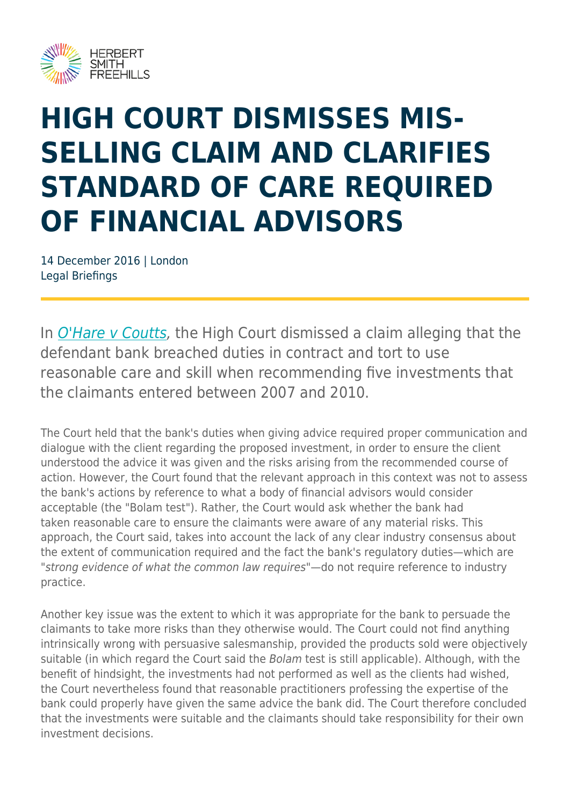

# **HIGH COURT DISMISSES MIS-SELLING CLAIM AND CLARIFIES STANDARD OF CARE REQUIRED OF FINANCIAL ADVISORS**

14 December 2016 | London Legal Briefings

In *[O'Hare v Coutts](http://www.bailii.org/ew/cases/EWHC/QB/2016/2224.html)*, the High Court dismissed a claim alleging that the defendant bank breached duties in contract and tort to use reasonable care and skill when recommending five investments that the claimants entered between 2007 and 2010.

The Court held that the bank's duties when giving advice required proper communication and dialogue with the client regarding the proposed investment, in order to ensure the client understood the advice it was given and the risks arising from the recommended course of action. However, the Court found that the relevant approach in this context was not to assess the bank's actions by reference to what a body of financial advisors would consider acceptable (the "Bolam test"). Rather, the Court would ask whether the bank had taken reasonable care to ensure the claimants were aware of any material risks. This approach, the Court said, takes into account the lack of any clear industry consensus about the extent of communication required and the fact the bank's regulatory duties—which are "strong evidence of what the common law requires"—do not require reference to industry practice.

Another key issue was the extent to which it was appropriate for the bank to persuade the claimants to take more risks than they otherwise would. The Court could not find anything intrinsically wrong with persuasive salesmanship, provided the products sold were objectively suitable (in which regard the Court said the Bolam test is still applicable). Although, with the benefit of hindsight, the investments had not performed as well as the clients had wished, the Court nevertheless found that reasonable practitioners professing the expertise of the bank could properly have given the same advice the bank did. The Court therefore concluded that the investments were suitable and the claimants should take responsibility for their own investment decisions.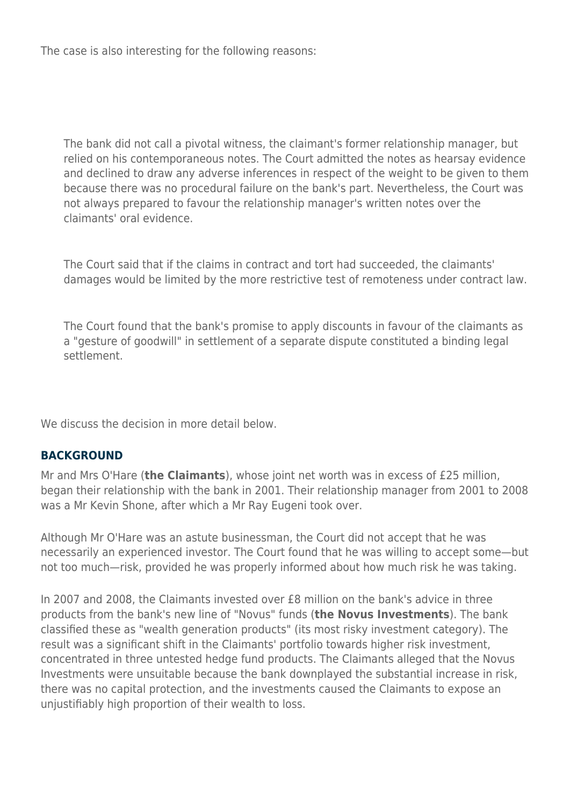The case is also interesting for the following reasons:

The bank did not call a pivotal witness, the claimant's former relationship manager, but relied on his contemporaneous notes. The Court admitted the notes as hearsay evidence and declined to draw any adverse inferences in respect of the weight to be given to them because there was no procedural failure on the bank's part. Nevertheless, the Court was not always prepared to favour the relationship manager's written notes over the claimants' oral evidence.

The Court said that if the claims in contract and tort had succeeded, the claimants' damages would be limited by the more restrictive test of remoteness under contract law.

The Court found that the bank's promise to apply discounts in favour of the claimants as a "gesture of goodwill" in settlement of a separate dispute constituted a binding legal settlement.

We discuss the decision in more detail below.

#### **BACKGROUND**

Mr and Mrs O'Hare (**the Claimants**), whose joint net worth was in excess of £25 million, began their relationship with the bank in 2001. Their relationship manager from 2001 to 2008 was a Mr Kevin Shone, after which a Mr Ray Eugeni took over.

Although Mr O'Hare was an astute businessman, the Court did not accept that he was necessarily an experienced investor. The Court found that he was willing to accept some—but not too much—risk, provided he was properly informed about how much risk he was taking.

In 2007 and 2008, the Claimants invested over £8 million on the bank's advice in three products from the bank's new line of "Novus" funds (**the Novus Investments**). The bank classified these as "wealth generation products" (its most risky investment category). The result was a significant shift in the Claimants' portfolio towards higher risk investment, concentrated in three untested hedge fund products. The Claimants alleged that the Novus Investments were unsuitable because the bank downplayed the substantial increase in risk, there was no capital protection, and the investments caused the Claimants to expose an unjustifiably high proportion of their wealth to loss.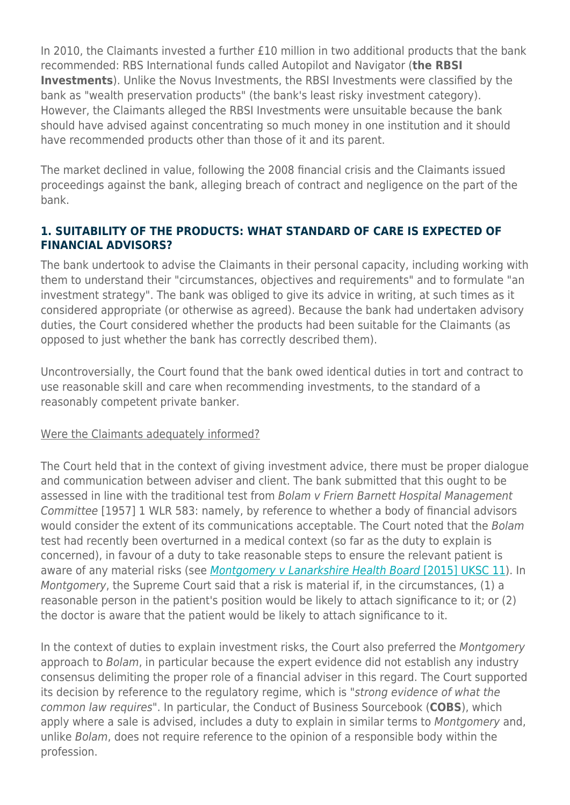In 2010, the Claimants invested a further £10 million in two additional products that the bank recommended: RBS International funds called Autopilot and Navigator (**the RBSI Investments**). Unlike the Novus Investments, the RBSI Investments were classified by the bank as "wealth preservation products" (the bank's least risky investment category). However, the Claimants alleged the RBSI Investments were unsuitable because the bank should have advised against concentrating so much money in one institution and it should have recommended products other than those of it and its parent.

The market declined in value, following the 2008 financial crisis and the Claimants issued proceedings against the bank, alleging breach of contract and negligence on the part of the bank.

#### **1. SUITABILITY OF THE PRODUCTS: WHAT STANDARD OF CARE IS EXPECTED OF FINANCIAL ADVISORS?**

The bank undertook to advise the Claimants in their personal capacity, including working with them to understand their "circumstances, objectives and requirements" and to formulate "an investment strategy". The bank was obliged to give its advice in writing, at such times as it considered appropriate (or otherwise as agreed). Because the bank had undertaken advisory duties, the Court considered whether the products had been suitable for the Claimants (as opposed to just whether the bank has correctly described them).

Uncontroversially, the Court found that the bank owed identical duties in tort and contract to use reasonable skill and care when recommending investments, to the standard of a reasonably competent private banker.

#### Were the Claimants adequately informed?

The Court held that in the context of giving investment advice, there must be proper dialogue and communication between adviser and client. The bank submitted that this ought to be assessed in line with the traditional test from Bolam v Friern Barnett Hospital Management Committee [1957] 1 WLR 583: namely, by reference to whether a body of financial advisors would consider the extent of its communications acceptable. The Court noted that the Bolam test had recently been overturned in a medical context (so far as the duty to explain is concerned), in favour of a duty to take reasonable steps to ensure the relevant patient is aware of any material risks (see Montgomery y Lanarkshire Health Board [\[2015\] UKSC 11](http://www.bailii.org/uk/cases/UKSC/2015/11.html)). In Montgomery, the Supreme Court said that a risk is material if, in the circumstances, (1) a reasonable person in the patient's position would be likely to attach significance to it; or (2) the doctor is aware that the patient would be likely to attach significance to it.

In the context of duties to explain investment risks, the Court also preferred the Montgomery approach to Bolam, in particular because the expert evidence did not establish any industry consensus delimiting the proper role of a financial adviser in this regard. The Court supported its decision by reference to the regulatory regime, which is "strong evidence of what the common law requires". In particular, the Conduct of Business Sourcebook (**COBS**), which apply where a sale is advised, includes a duty to explain in similar terms to Montgomery and, unlike Bolam, does not require reference to the opinion of a responsible body within the profession.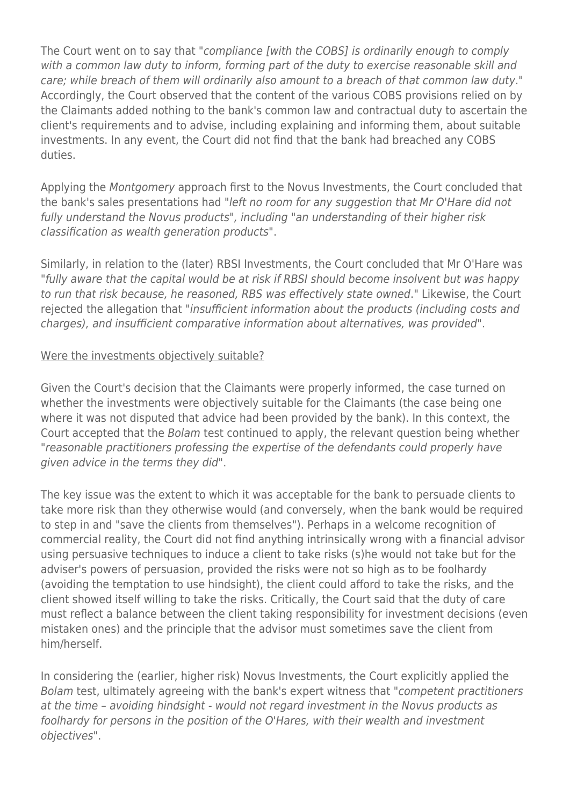The Court went on to say that "compliance [with the COBS] is ordinarily enough to comply with a common law duty to inform, forming part of the duty to exercise reasonable skill and care; while breach of them will ordinarily also amount to a breach of that common law duty." Accordingly, the Court observed that the content of the various COBS provisions relied on by the Claimants added nothing to the bank's common law and contractual duty to ascertain the client's requirements and to advise, including explaining and informing them, about suitable investments. In any event, the Court did not find that the bank had breached any COBS duties.

Applying the Montgomery approach first to the Novus Investments, the Court concluded that the bank's sales presentations had "left no room for any suggestion that Mr O'Hare did not fully understand the Novus products", including "an understanding of their higher risk classification as wealth generation products".

Similarly, in relation to the (later) RBSI Investments, the Court concluded that Mr O'Hare was "fully aware that the capital would be at risk if RBSI should become insolvent but was happy to run that risk because, he reasoned, RBS was effectively state owned." Likewise, the Court rejected the allegation that "insufficient information about the products (including costs and charges), and insufficient comparative information about alternatives, was provided".

#### Were the investments objectively suitable?

Given the Court's decision that the Claimants were properly informed, the case turned on whether the investments were objectively suitable for the Claimants (the case being one where it was not disputed that advice had been provided by the bank). In this context, the Court accepted that the Bolam test continued to apply, the relevant question being whether "reasonable practitioners professing the expertise of the defendants could properly have given advice in the terms they did".

The key issue was the extent to which it was acceptable for the bank to persuade clients to take more risk than they otherwise would (and conversely, when the bank would be required to step in and "save the clients from themselves"). Perhaps in a welcome recognition of commercial reality, the Court did not find anything intrinsically wrong with a financial advisor using persuasive techniques to induce a client to take risks (s)he would not take but for the adviser's powers of persuasion, provided the risks were not so high as to be foolhardy (avoiding the temptation to use hindsight), the client could afford to take the risks, and the client showed itself willing to take the risks. Critically, the Court said that the duty of care must reflect a balance between the client taking responsibility for investment decisions (even mistaken ones) and the principle that the advisor must sometimes save the client from him/herself.

In considering the (earlier, higher risk) Novus Investments, the Court explicitly applied the Bolam test, ultimately agreeing with the bank's expert witness that "competent practitioners at the time – avoiding hindsight - would not regard investment in the Novus products as foolhardy for persons in the position of the O'Hares, with their wealth and investment objectives".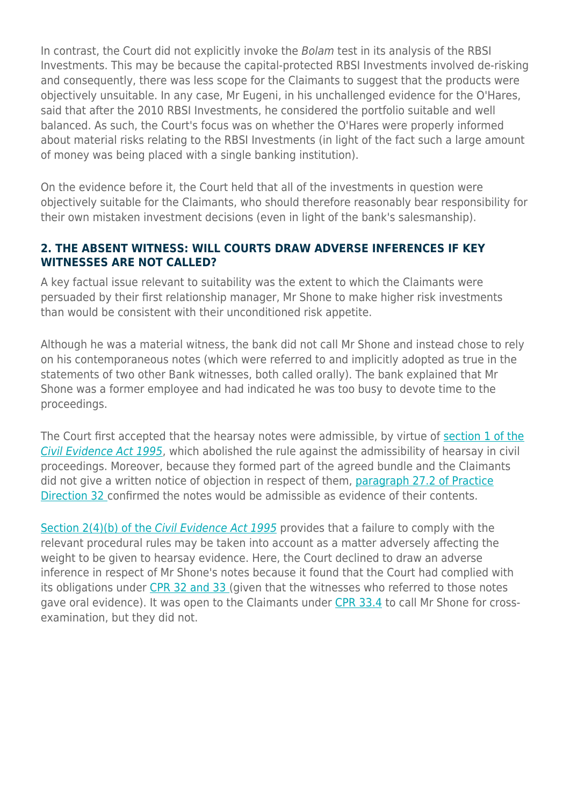In contrast, the Court did not explicitly invoke the Bolam test in its analysis of the RBSI Investments. This may be because the capital-protected RBSI Investments involved de-risking and consequently, there was less scope for the Claimants to suggest that the products were objectively unsuitable. In any case, Mr Eugeni, in his unchallenged evidence for the O'Hares, said that after the 2010 RBSI Investments, he considered the portfolio suitable and well balanced. As such, the Court's focus was on whether the O'Hares were properly informed about material risks relating to the RBSI Investments (in light of the fact such a large amount of money was being placed with a single banking institution).

On the evidence before it, the Court held that all of the investments in question were objectively suitable for the Claimants, who should therefore reasonably bear responsibility for their own mistaken investment decisions (even in light of the bank's salesmanship).

#### **2. THE ABSENT WITNESS: WILL COURTS DRAW ADVERSE INFERENCES IF KEY WITNESSES ARE NOT CALLED?**

A key factual issue relevant to suitability was the extent to which the Claimants were persuaded by their first relationship manager, Mr Shone to make higher risk investments than would be consistent with their unconditioned risk appetite.

Although he was a material witness, the bank did not call Mr Shone and instead chose to rely on his contemporaneous notes (which were referred to and implicitly adopted as true in the statements of two other Bank witnesses, both called orally). The bank explained that Mr Shone was a former employee and had indicated he was too busy to devote time to the proceedings.

The Court first accepted that the hearsay notes were admissible, by virtue of [section 1 of the](http://www.legislation.gov.uk/ukpga/1995/38/section/1) [Civil Evidence Act 1995](http://www.legislation.gov.uk/ukpga/1995/38/section/1), which abolished the rule against the admissibility of hearsay in civil proceedings. Moreover, because they formed part of the agreed bundle and the Claimants did not give a written notice of objection in respect of them, [paragraph 27.2 of Practice](https://www.justice.gov.uk/courts/procedure-rules/civil/rules/part32/pd_part32#27.1) [Direction 32](https://www.justice.gov.uk/courts/procedure-rules/civil/rules/part32/pd_part32#27.1) confirmed the notes would be admissible as evidence of their contents.

[Section 2\(4\)\(b\) of the](http://www.legislation.gov.uk/ukpga/1995/38/section/2) [Civil Evidence Act 1995](http://www.legislation.gov.uk/ukpga/1995/38/section/2) provides that a failure to comply with the relevant procedural rules may be taken into account as a matter adversely affecting the weight to be given to hearsay evidence. Here, the Court declined to draw an adverse inference in respect of Mr Shone's notes because it found that the Court had complied with its obligations under [CPR 32 and 33 \(](https://www.justice.gov.uk/courts/procedure-rules/civil/rules/part33#text1)given that the witnesses who referred to those notes gave oral evidence). It was open to the Claimants under [CPR 33.4](https://www.justice.gov.uk/courts/procedure-rules/civil/rules/part33#33.4) to call Mr Shone for crossexamination, but they did not.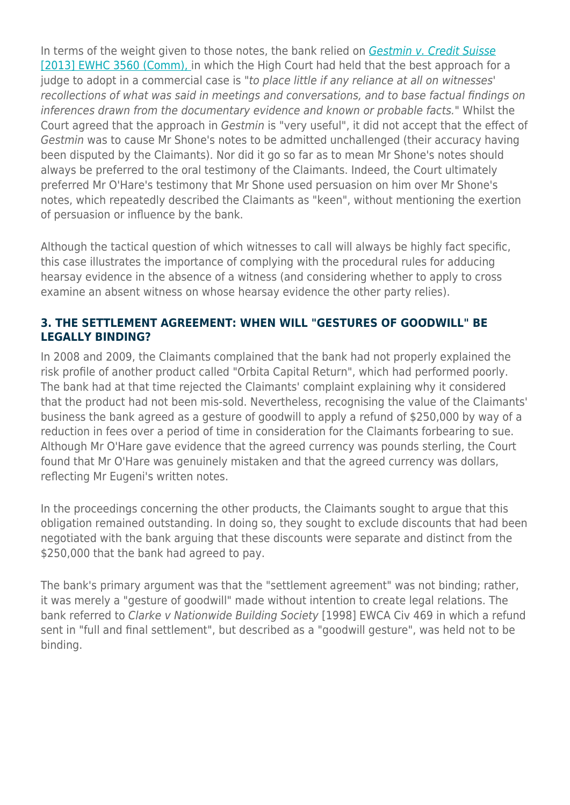In terms of the weight given to those notes, the bank relied on [Gestmin v. Credit Suisse](http://www.bailii.org/ew/cases/EWHC/Comm/2013/3560.html) [\[2013\] EWHC 3560 \(Comm\), i](http://www.bailii.org/ew/cases/EWHC/Comm/2013/3560.html)n which the High Court had held that the best approach for a judge to adopt in a commercial case is "to place little if any reliance at all on witnesses' recollections of what was said in meetings and conversations, and to base factual findings on inferences drawn from the documentary evidence and known or probable facts." Whilst the Court agreed that the approach in Gestmin is "very useful", it did not accept that the effect of Gestmin was to cause Mr Shone's notes to be admitted unchallenged (their accuracy having been disputed by the Claimants). Nor did it go so far as to mean Mr Shone's notes should always be preferred to the oral testimony of the Claimants. Indeed, the Court ultimately preferred Mr O'Hare's testimony that Mr Shone used persuasion on him over Mr Shone's notes, which repeatedly described the Claimants as "keen", without mentioning the exertion of persuasion or influence by the bank.

Although the tactical question of which witnesses to call will always be highly fact specific, this case illustrates the importance of complying with the procedural rules for adducing hearsay evidence in the absence of a witness (and considering whether to apply to cross examine an absent witness on whose hearsay evidence the other party relies).

#### **3. THE SETTLEMENT AGREEMENT: WHEN WILL "GESTURES OF GOODWILL" BE LEGALLY BINDING?**

In 2008 and 2009, the Claimants complained that the bank had not properly explained the risk profile of another product called "Orbita Capital Return", which had performed poorly. The bank had at that time rejected the Claimants' complaint explaining why it considered that the product had not been mis-sold. Nevertheless, recognising the value of the Claimants' business the bank agreed as a gesture of goodwill to apply a refund of \$250,000 by way of a reduction in fees over a period of time in consideration for the Claimants forbearing to sue. Although Mr O'Hare gave evidence that the agreed currency was pounds sterling, the Court found that Mr O'Hare was genuinely mistaken and that the agreed currency was dollars, reflecting Mr Eugeni's written notes.

In the proceedings concerning the other products, the Claimants sought to argue that this obligation remained outstanding. In doing so, they sought to exclude discounts that had been negotiated with the bank arguing that these discounts were separate and distinct from the \$250,000 that the bank had agreed to pay.

The bank's primary argument was that the "settlement agreement" was not binding; rather, it was merely a "gesture of goodwill" made without intention to create legal relations. The bank referred to Clarke v Nationwide Building Society [1998] EWCA Civ 469 in which a refund sent in "full and final settlement", but described as a "goodwill gesture", was held not to be binding.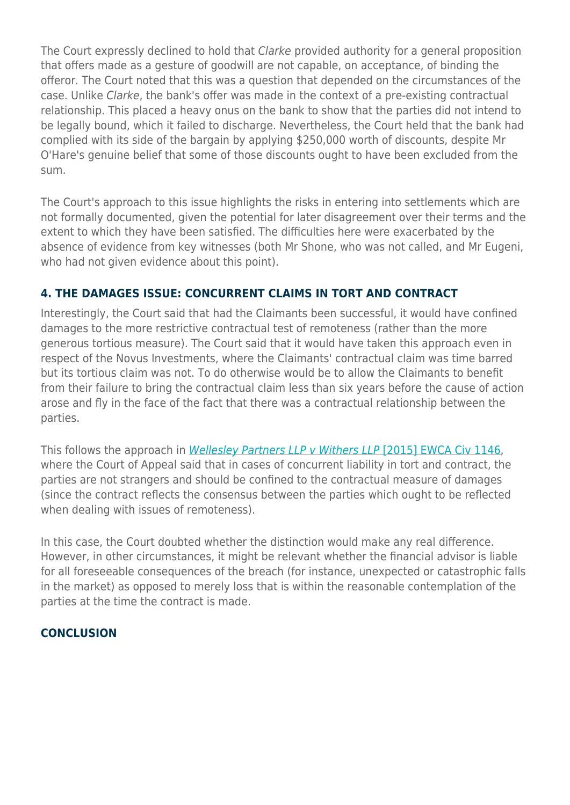The Court expressly declined to hold that *Clarke* provided authority for a general proposition that offers made as a gesture of goodwill are not capable, on acceptance, of binding the offeror. The Court noted that this was a question that depended on the circumstances of the case. Unlike Clarke, the bank's offer was made in the context of a pre-existing contractual relationship. This placed a heavy onus on the bank to show that the parties did not intend to be legally bound, which it failed to discharge. Nevertheless, the Court held that the bank had complied with its side of the bargain by applying \$250,000 worth of discounts, despite Mr O'Hare's genuine belief that some of those discounts ought to have been excluded from the sum.

The Court's approach to this issue highlights the risks in entering into settlements which are not formally documented, given the potential for later disagreement over their terms and the extent to which they have been satisfied. The difficulties here were exacerbated by the absence of evidence from key witnesses (both Mr Shone, who was not called, and Mr Eugeni, who had not given evidence about this point).

### **4. THE DAMAGES ISSUE: CONCURRENT CLAIMS IN TORT AND CONTRACT**

Interestingly, the Court said that had the Claimants been successful, it would have confined damages to the more restrictive contractual test of remoteness (rather than the more generous tortious measure). The Court said that it would have taken this approach even in respect of the Novus Investments, where the Claimants' contractual claim was time barred but its tortious claim was not. To do otherwise would be to allow the Claimants to benefit from their failure to bring the contractual claim less than six years before the cause of action arose and fly in the face of the fact that there was a contractual relationship between the parties.

This follows the approach in [Wellesley Partners LLP v Withers LLP](http://www.bailii.org/ew/cases/EWCA/Civ/2015/1146.html) [\[2015\] EWCA Civ 1146,](http://www.bailii.org/ew/cases/EWCA/Civ/2015/1146.html) where the Court of Appeal said that in cases of concurrent liability in tort and contract, the parties are not strangers and should be confined to the contractual measure of damages (since the contract reflects the consensus between the parties which ought to be reflected when dealing with issues of remoteness).

In this case, the Court doubted whether the distinction would make any real difference. However, in other circumstances, it might be relevant whether the financial advisor is liable for all foreseeable consequences of the breach (for instance, unexpected or catastrophic falls in the market) as opposed to merely loss that is within the reasonable contemplation of the parties at the time the contract is made.

#### **CONCLUSION**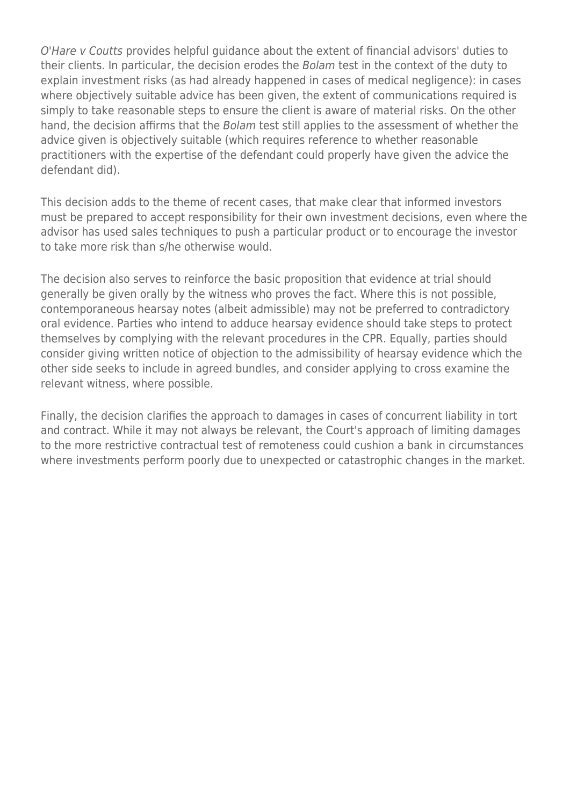O'Hare v Coutts provides helpful guidance about the extent of financial advisors' duties to their clients. In particular, the decision erodes the Bolam test in the context of the duty to explain investment risks (as had already happened in cases of medical negligence): in cases where objectively suitable advice has been given, the extent of communications required is simply to take reasonable steps to ensure the client is aware of material risks. On the other hand, the decision affirms that the Bolam test still applies to the assessment of whether the advice given is objectively suitable (which requires reference to whether reasonable practitioners with the expertise of the defendant could properly have given the advice the defendant did).

This decision adds to the theme of recent cases, that make clear that informed investors must be prepared to accept responsibility for their own investment decisions, even where the advisor has used sales techniques to push a particular product or to encourage the investor to take more risk than s/he otherwise would.

The decision also serves to reinforce the basic proposition that evidence at trial should generally be given orally by the witness who proves the fact. Where this is not possible, contemporaneous hearsay notes (albeit admissible) may not be preferred to contradictory oral evidence. Parties who intend to adduce hearsay evidence should take steps to protect themselves by complying with the relevant procedures in the CPR. Equally, parties should consider giving written notice of objection to the admissibility of hearsay evidence which the other side seeks to include in agreed bundles, and consider applying to cross examine the relevant witness, where possible.

Finally, the decision clarifies the approach to damages in cases of concurrent liability in tort and contract. While it may not always be relevant, the Court's approach of limiting damages to the more restrictive contractual test of remoteness could cushion a bank in circumstances where investments perform poorly due to unexpected or catastrophic changes in the market.